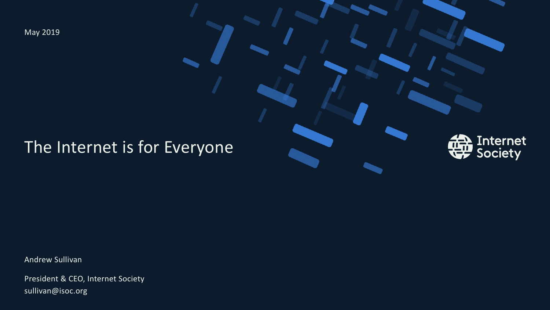May 2019

### The Internet is for Everyone



Andrew Sullivan

President & CEO, Internet Society sullivan@isoc.org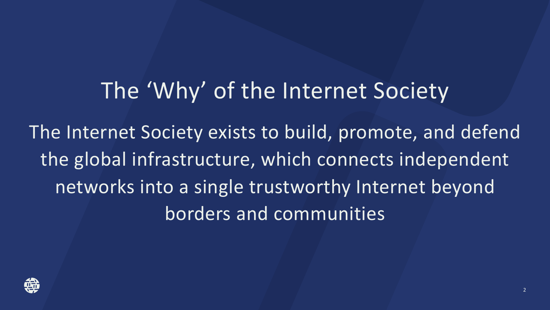## The 'Why' of the Internet Society

The Internet Society exists to build, promote, and defend the global infrastructure, which connects independent networks into a single trustworthy Internet beyond borders and communities

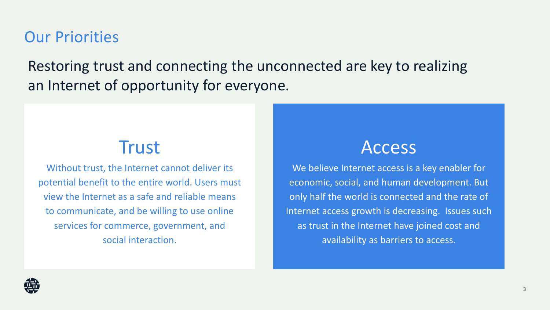#### Our Priorities

Restoring trust and connecting the unconnected are key to realizing an Internet of opportunity for everyone.

### **Trust**

Without trust, the Internet cannot deliver its potential benefit to the entire world. Users must view the Internet as a safe and reliable means to communicate, and be willing to use online services for commerce, government, and social interaction.

### Access

We believe Internet access is a key enabler for economic, social, and human development. But only half the world is connected and the rate of Internet access growth is decreasing. Issues such as trust in the Internet have joined cost and availability as barriers to access.

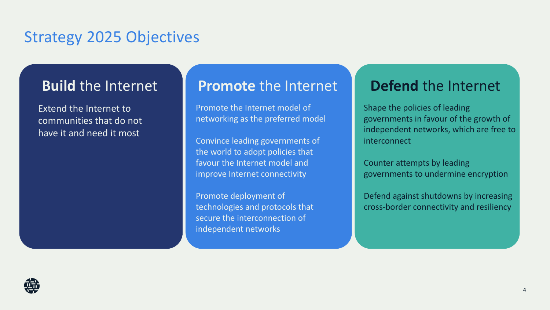#### Strategy 2025 Objectives

Extend the Internet to communities that do not have it and need it most

#### **Build the Internet Promote the Internet Person the Internet**

Promote the Internet model of networking as the preferred model

Convince leading governments of the world to adopt policies that favour the Internet model and improve Internet connectivity

Promote deployment of technologies and protocols that secure the interconnection of independent networks

Shape the policies of leading governments in favour of the growth of independent networks, which are free to interconnect

Counter attempts by leading governments to undermine encryption

Defend against shutdowns by increasing cross-border connectivity and resiliency